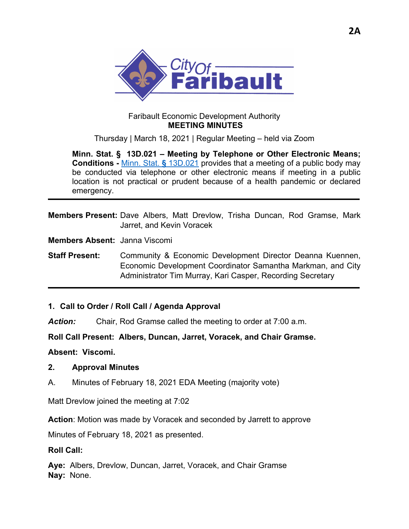

### Faribault Economic Development Authority  **MEETING MINUTES**

Thursday | March 18, 2021 | Regular Meeting – held via Zoom

**Minn. Stat. § 13D.021 – Meeting by Telephone or Other Electronic Means; Conditions -** Minn. Stat. **§** 13D.021 provides that a meeting of a public body may be conducted via telephone or other electronic means if meeting in a public location is not practical or prudent because of a health pandemic or declared emergency.

**Members Present:** Dave Albers, Matt Drevlow, Trisha Duncan, Rod Gramse, Mark Jarret, and Kevin Voracek

**Members Absent:** Janna Viscomi

**Staff Present:** Community & Economic Development Director Deanna Kuennen, Economic Development Coordinator Samantha Markman, and City Administrator Tim Murray, Kari Casper, Recording Secretary

#### **1. Call to Order / Roll Call / Agenda Approval**

*Action:* Chair, Rod Gramse called the meeting to order at 7:00 a.m.

**Roll Call Present: Albers, Duncan, Jarret, Voracek, and Chair Gramse.** 

**Absent: Viscomi.** 

#### **2. Approval Minutes**

A. Minutes of February 18, 2021 EDA Meeting (majority vote)

Matt Drevlow joined the meeting at 7:02

**Action**: Motion was made by Voracek and seconded by Jarrett to approve

Minutes of February 18, 2021 as presented.

#### **Roll Call:**

**Aye:** Albers, Drevlow, Duncan, Jarret, Voracek, and Chair Gramse **Nay:** None.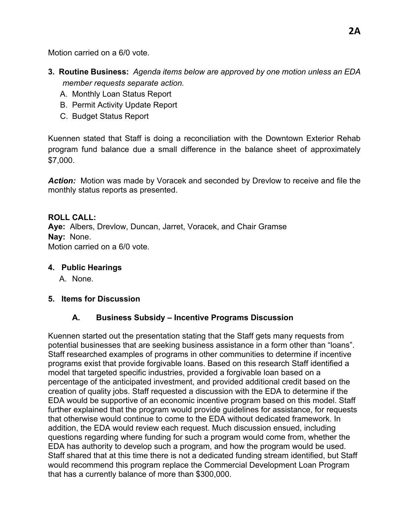Motion carried on a 6/0 vote.

- **3. Routine Business:** *Agenda items below are approved by one motion unless an EDA member requests separate action.* 
	- A. Monthly Loan Status Report
	- B. Permit Activity Update Report
	- C. Budget Status Report

Kuennen stated that Staff is doing a reconciliation with the Downtown Exterior Rehab program fund balance due a small difference in the balance sheet of approximately \$7,000.

*Action:* Motion was made by Voracek and seconded by Drevlow to receive and file the monthly status reports as presented.

# **ROLL CALL:**

**Aye:** Albers, Drevlow, Duncan, Jarret, Voracek, and Chair Gramse **Nay:** None. Motion carried on a 6/0 vote.

### **4. Public Hearings**

A. None.

### **5. Items for Discussion**

# **A. Business Subsidy – Incentive Programs Discussion**

Kuennen started out the presentation stating that the Staff gets many requests from potential businesses that are seeking business assistance in a form other than "loans". Staff researched examples of programs in other communities to determine if incentive programs exist that provide forgivable loans. Based on this research Staff identified a model that targeted specific industries, provided a forgivable loan based on a percentage of the anticipated investment, and provided additional credit based on the creation of quality jobs. Staff requested a discussion with the EDA to determine if the EDA would be supportive of an economic incentive program based on this model. Staff further explained that the program would provide guidelines for assistance, for requests that otherwise would continue to come to the EDA without dedicated framework. In addition, the EDA would review each request. Much discussion ensued, including questions regarding where funding for such a program would come from, whether the EDA has authority to develop such a program, and how the program would be used. Staff shared that at this time there is not a dedicated funding stream identified, but Staff would recommend this program replace the Commercial Development Loan Program that has a currently balance of more than \$300,000.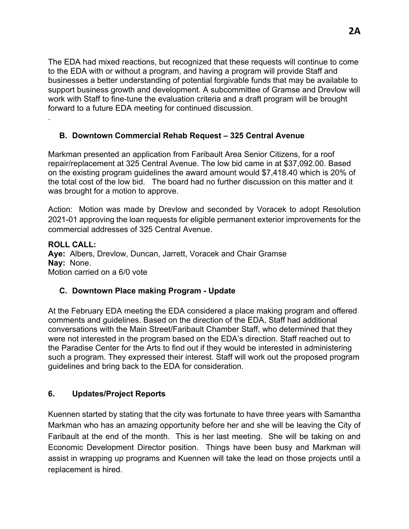The EDA had mixed reactions, but recognized that these requests will continue to come to the EDA with or without a program, and having a program will provide Staff and businesses a better understanding of potential forgivable funds that may be available to support business growth and development. A subcommittee of Gramse and Drevlow will work with Staff to fine-tune the evaluation criteria and a draft program will be brought forward to a future EDA meeting for continued discussion.

## **B. Downtown Commercial Rehab Request – 325 Central Avenue**

Markman presented an application from Faribault Area Senior Citizens, for a roof repair/replacement at 325 Central Avenue. The low bid came in at \$37,092.00. Based on the existing program guidelines the award amount would \$7,418.40 which is 20% of the total cost of the low bid. The board had no further discussion on this matter and it was brought for a motion to approve.

Action: Motion was made by Drevlow and seconded by Voracek to adopt Resolution 2021-01 approving the loan requests for eligible permanent exterior improvements for the commercial addresses of 325 Central Avenue.

**ROLL CALL: Aye:** Albers, Drevlow, Duncan, Jarrett, Voracek and Chair Gramse **Nay:** None. Motion carried on a 6/0 vote

### **C. Downtown Place making Program - Update**

At the February EDA meeting the EDA considered a place making program and offered comments and guidelines. Based on the direction of the EDA, Staff had additional conversations with the Main Street/Faribault Chamber Staff, who determined that they were not interested in the program based on the EDA's direction. Staff reached out to the Paradise Center for the Arts to find out if they would be interested in administering such a program. They expressed their interest. Staff will work out the proposed program guidelines and bring back to the EDA for consideration.

### **6. Updates/Project Reports**

.

Kuennen started by stating that the city was fortunate to have three years with Samantha Markman who has an amazing opportunity before her and she will be leaving the City of Faribault at the end of the month. This is her last meeting. She will be taking on and Economic Development Director position. Things have been busy and Markman will assist in wrapping up programs and Kuennen will take the lead on those projects until a replacement is hired.